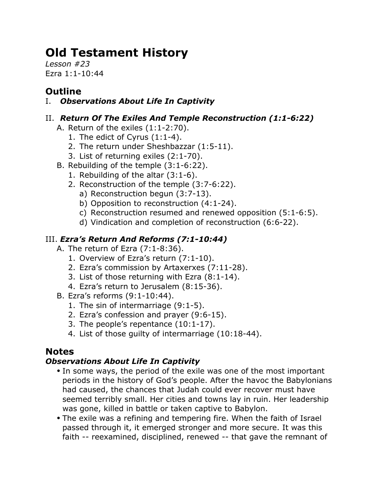# **Old Testament History**

*Lesson #23* Ezra 1:1-10:44

# **Outline**

# I. *Observations About Life In Captivity*

## II. *Return Of The Exiles And Temple Reconstruction (1:1-6:22)*

- A. Return of the exiles (1:1-2:70).
	- 1. The edict of Cyrus (1:1-4).
	- 2. The return under Sheshbazzar (1:5-11).
	- 3. List of returning exiles (2:1-70).
- B. Rebuilding of the temple (3:1-6:22).
	- 1. Rebuilding of the altar (3:1-6).
	- 2. Reconstruction of the temple (3:7-6:22).
		- a) Reconstruction begun (3:7-13).
		- b) Opposition to reconstruction (4:1-24).
		- c) Reconstruction resumed and renewed opposition (5:1-6:5).
		- d) Vindication and completion of reconstruction (6:6-22).

## III. *Ezra's Return And Reforms (7:1-10:44)*

- A. The return of Ezra (7:1-8:36).
	- 1. Overview of Ezra's return (7:1-10).
	- 2. Ezra's commission by Artaxerxes (7:11-28).
	- 3. List of those returning with Ezra (8:1-14).
	- 4. Ezra's return to Jerusalem (8:15-36).
- B. Ezra's reforms (9:1-10:44).
	- 1. The sin of intermarriage (9:1-5).
	- 2. Ezra's confession and prayer (9:6-15).
	- 3. The people's repentance (10:1-17).
	- 4. List of those guilty of intermarriage (10:18-44).

# **Notes**

## *Observations About Life In Captivity*

- In some ways, the period of the exile was one of the most important periods in the history of God's people. After the havoc the Babylonians had caused, the chances that Judah could ever recover must have seemed terribly small. Her cities and towns lay in ruin. Her leadership was gone, killed in battle or taken captive to Babylon.
- The exile was a refining and tempering fire. When the faith of Israel passed through it, it emerged stronger and more secure. It was this faith -- reexamined, disciplined, renewed -- that gave the remnant of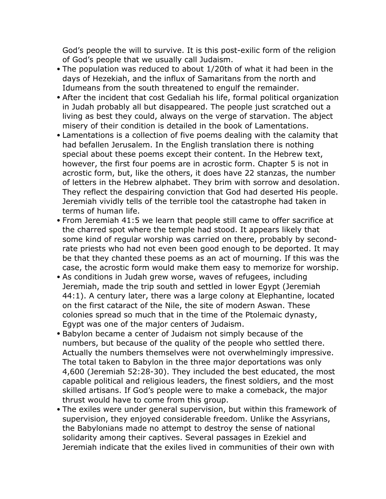God's people the will to survive. It is this post-exilic form of the religion of God's people that we usually call Judaism.

- The population was reduced to about 1/20th of what it had been in the days of Hezekiah, and the influx of Samaritans from the north and Idumeans from the south threatened to engulf the remainder.
- After the incident that cost Gedaliah his life, formal political organization in Judah probably all but disappeared. The people just scratched out a living as best they could, always on the verge of starvation. The abject misery of their condition is detailed in the book of Lamentations.
- Lamentations is a collection of five poems dealing with the calamity that had befallen Jerusalem. In the English translation there is nothing special about these poems except their content. In the Hebrew text, however, the first four poems are in acrostic form. Chapter 5 is not in acrostic form, but, like the others, it does have 22 stanzas, the number of letters in the Hebrew alphabet. They brim with sorrow and desolation. They reflect the despairing conviction that God had deserted His people. Jeremiah vividly tells of the terrible tool the catastrophe had taken in terms of human life.
- From Jeremiah 41:5 we learn that people still came to offer sacrifice at the charred spot where the temple had stood. It appears likely that some kind of regular worship was carried on there, probably by secondrate priests who had not even been good enough to be deported. It may be that they chanted these poems as an act of mourning. If this was the case, the acrostic form would make them easy to memorize for worship.
- As conditions in Judah grew worse, waves of refugees, including Jeremiah, made the trip south and settled in lower Egypt (Jeremiah 44:1). A century later, there was a large colony at Elephantine, located on the first cataract of the Nile, the site of modern Aswan. These colonies spread so much that in the time of the Ptolemaic dynasty, Egypt was one of the major centers of Judaism.
- Babylon became a center of Judaism not simply because of the numbers, but because of the quality of the people who settled there. Actually the numbers themselves were not overwhelmingly impressive. The total taken to Babylon in the three major deportations was only 4,600 (Jeremiah 52:28-30). They included the best educated, the most capable political and religious leaders, the finest soldiers, and the most skilled artisans. If God's people were to make a comeback, the major thrust would have to come from this group.
- The exiles were under general supervision, but within this framework of supervision, they enjoyed considerable freedom. Unlike the Assyrians, the Babylonians made no attempt to destroy the sense of national solidarity among their captives. Several passages in Ezekiel and Jeremiah indicate that the exiles lived in communities of their own with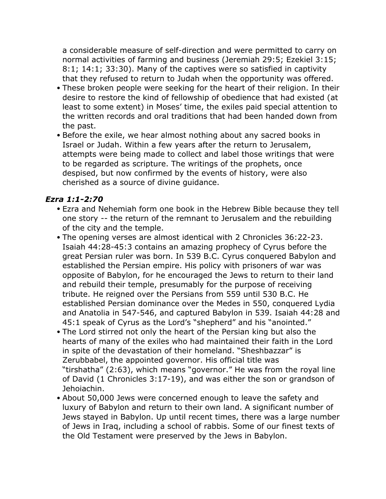a considerable measure of self-direction and were permitted to carry on normal activities of farming and business (Jeremiah 29:5; Ezekiel 3:15; 8:1; 14:1; 33:30). Many of the captives were so satisfied in captivity that they refused to return to Judah when the opportunity was offered.

- These broken people were seeking for the heart of their religion. In their desire to restore the kind of fellowship of obedience that had existed (at least to some extent) in Moses' time, the exiles paid special attention to the written records and oral traditions that had been handed down from the past.
- Before the exile, we hear almost nothing about any sacred books in Israel or Judah. Within a few years after the return to Jerusalem, attempts were being made to collect and label those writings that were to be regarded as scripture. The writings of the prophets, once despised, but now confirmed by the events of history, were also cherished as a source of divine guidance.

#### *Ezra 1:1-2:70*

- Ezra and Nehemiah form one book in the Hebrew Bible because they tell one story -- the return of the remnant to Jerusalem and the rebuilding of the city and the temple.
- The opening verses are almost identical with 2 Chronicles 36:22-23. Isaiah 44:28-45:3 contains an amazing prophecy of Cyrus before the great Persian ruler was born. In 539 B.C. Cyrus conquered Babylon and established the Persian empire. His policy with prisoners of war was opposite of Babylon, for he encouraged the Jews to return to their land and rebuild their temple, presumably for the purpose of receiving tribute. He reigned over the Persians from 559 until 530 B.C. He established Persian dominance over the Medes in 550, conquered Lydia and Anatolia in 547-546, and captured Babylon in 539. Isaiah 44:28 and 45:1 speak of Cyrus as the Lord's "shepherd" and his "anointed."
- The Lord stirred not only the heart of the Persian king but also the hearts of many of the exiles who had maintained their faith in the Lord in spite of the devastation of their homeland. "Sheshbazzar" is Zerubbabel, the appointed governor. His official title was "tirshatha" (2:63), which means "governor." He was from the royal line of David (1 Chronicles 3:17-19), and was either the son or grandson of Jehoiachin.
- About 50,000 Jews were concerned enough to leave the safety and luxury of Babylon and return to their own land. A significant number of Jews stayed in Babylon. Up until recent times, there was a large number of Jews in Iraq, including a school of rabbis. Some of our finest texts of the Old Testament were preserved by the Jews in Babylon.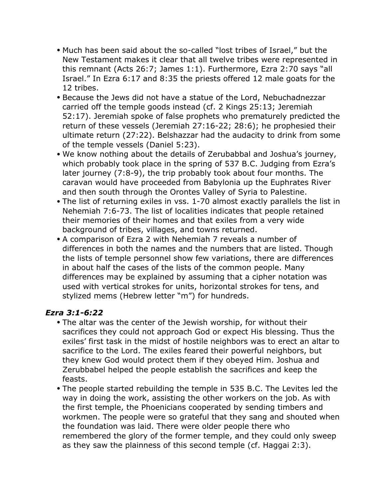- Much has been said about the so-called "lost tribes of Israel," but the New Testament makes it clear that all twelve tribes were represented in this remnant (Acts 26:7; James 1:1). Furthermore, Ezra 2:70 says "all Israel." In Ezra 6:17 and 8:35 the priests offered 12 male goats for the 12 tribes.
- Because the Jews did not have a statue of the Lord, Nebuchadnezzar carried off the temple goods instead (cf. 2 Kings 25:13; Jeremiah 52:17). Jeremiah spoke of false prophets who prematurely predicted the return of these vessels (Jeremiah 27:16-22; 28:6); he prophesied their ultimate return (27:22). Belshazzar had the audacity to drink from some of the temple vessels (Daniel 5:23).
- We know nothing about the details of Zerubabbal and Joshua's journey, which probably took place in the spring of 537 B.C. Judging from Ezra's later journey (7:8-9), the trip probably took about four months. The caravan would have proceeded from Babylonia up the Euphrates River and then south through the Orontes Valley of Syria to Palestine.
- The list of returning exiles in vss. 1-70 almost exactly parallels the list in Nehemiah 7:6-73. The list of localities indicates that people retained their memories of their homes and that exiles from a very wide background of tribes, villages, and towns returned.
- A comparison of Ezra 2 with Nehemiah 7 reveals a number of differences in both the names and the numbers that are listed. Though the lists of temple personnel show few variations, there are differences in about half the cases of the lists of the common people. Many differences may be explained by assuming that a cipher notation was used with vertical strokes for units, horizontal strokes for tens, and stylized mems (Hebrew letter "m") for hundreds.

#### *Ezra 3:1-6:22*

- The altar was the center of the Jewish worship, for without their sacrifices they could not approach God or expect His blessing. Thus the exiles' first task in the midst of hostile neighbors was to erect an altar to sacrifice to the Lord. The exiles feared their powerful neighbors, but they knew God would protect them if they obeyed Him. Joshua and Zerubbabel helped the people establish the sacrifices and keep the feasts.
- The people started rebuilding the temple in 535 B.C. The Levites led the way in doing the work, assisting the other workers on the job. As with the first temple, the Phoenicians cooperated by sending timbers and workmen. The people were so grateful that they sang and shouted when the foundation was laid. There were older people there who remembered the glory of the former temple, and they could only sweep as they saw the plainness of this second temple (cf. Haggai 2:3).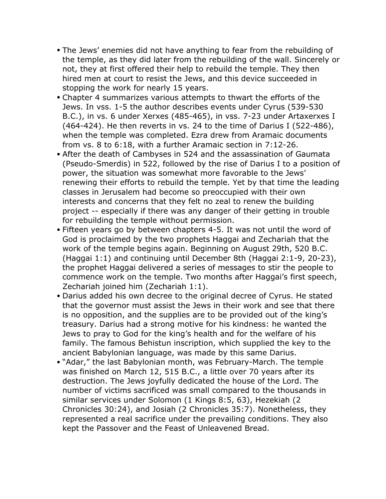- The Jews' enemies did not have anything to fear from the rebuilding of the temple, as they did later from the rebuilding of the wall. Sincerely or not, they at first offered their help to rebuild the temple. They then hired men at court to resist the Jews, and this device succeeded in stopping the work for nearly 15 years.
- Chapter 4 summarizes various attempts to thwart the efforts of the Jews. In vss. 1-5 the author describes events under Cyrus (539-530 B.C.), in vs. 6 under Xerxes (485-465), in vss. 7-23 under Artaxerxes I (464-424). He then reverts in vs. 24 to the time of Darius I (522-486), when the temple was completed. Ezra drew from Aramaic documents from vs. 8 to 6:18, with a further Aramaic section in 7:12-26.
- After the death of Cambyses in 524 and the assassination of Gaumata (Pseudo-Smerdis) in 522, followed by the rise of Darius I to a position of power, the situation was somewhat more favorable to the Jews' renewing their efforts to rebuild the temple. Yet by that time the leading classes in Jerusalem had become so preoccupied with their own interests and concerns that they felt no zeal to renew the building project -- especially if there was any danger of their getting in trouble for rebuilding the temple without permission.
- Fifteen years go by between chapters 4-5. It was not until the word of God is proclaimed by the two prophets Haggai and Zechariah that the work of the temple begins again. Beginning on August 29th, 520 B.C. (Haggai 1:1) and continuing until December 8th (Haggai 2:1-9, 20-23), the prophet Haggai delivered a series of messages to stir the people to commence work on the temple. Two months after Haggai's first speech, Zechariah joined him (Zechariah 1:1).
- Darius added his own decree to the original decree of Cyrus. He stated that the governor must assist the Jews in their work and see that there is no opposition, and the supplies are to be provided out of the king's treasury. Darius had a strong motive for his kindness: he wanted the Jews to pray to God for the king's health and for the welfare of his family. The famous Behistun inscription, which supplied the key to the ancient Babylonian language, was made by this same Darius.
- "Adar," the last Babylonian month, was February-March. The temple was finished on March 12, 515 B.C., a little over 70 years after its destruction. The Jews joyfully dedicated the house of the Lord. The number of victims sacrificed was small compared to the thousands in similar services under Solomon (1 Kings 8:5, 63), Hezekiah (2 Chronicles 30:24), and Josiah (2 Chronicles 35:7). Nonetheless, they represented a real sacrifice under the prevailing conditions. They also kept the Passover and the Feast of Unleavened Bread.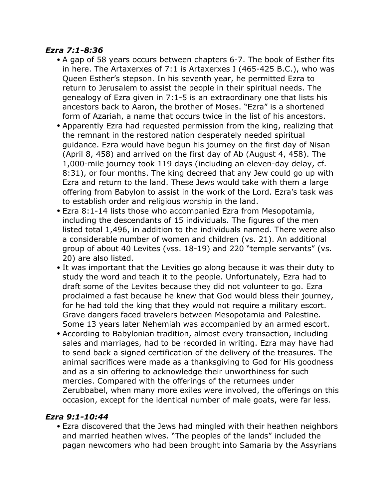#### *Ezra 7:1-8:36*

- A gap of 58 years occurs between chapters 6-7. The book of Esther fits in here. The Artaxerxes of 7:1 is Artaxerxes I (465-425 B.C.), who was Queen Esther's stepson. In his seventh year, he permitted Ezra to return to Jerusalem to assist the people in their spiritual needs. The genealogy of Ezra given in 7:1-5 is an extraordinary one that lists his ancestors back to Aaron, the brother of Moses. "Ezra" is a shortened form of Azariah, a name that occurs twice in the list of his ancestors.
- Apparently Ezra had requested permission from the king, realizing that the remnant in the restored nation desperately needed spiritual guidance. Ezra would have begun his journey on the first day of Nisan (April 8, 458) and arrived on the first day of Ab (August 4, 458). The 1,000-mile journey took 119 days (including an eleven-day delay, cf. 8:31), or four months. The king decreed that any Jew could go up with Ezra and return to the land. These Jews would take with them a large offering from Babylon to assist in the work of the Lord. Ezra's task was to establish order and religious worship in the land.
- Ezra 8:1-14 lists those who accompanied Ezra from Mesopotamia, including the descendants of 15 individuals. The figures of the men listed total 1,496, in addition to the individuals named. There were also a considerable number of women and children (vs. 21). An additional group of about 40 Levites (vss. 18-19) and 220 "temple servants" (vs. 20) are also listed.
- It was important that the Levities go along because it was their duty to study the word and teach it to the people. Unfortunately, Ezra had to draft some of the Levites because they did not volunteer to go. Ezra proclaimed a fast because he knew that God would bless their journey, for he had told the king that they would not require a military escort. Grave dangers faced travelers between Mesopotamia and Palestine. Some 13 years later Nehemiah was accompanied by an armed escort.
- According to Babylonian tradition, almost every transaction, including sales and marriages, had to be recorded in writing. Ezra may have had to send back a signed certification of the delivery of the treasures. The animal sacrifices were made as a thanksgiving to God for His goodness and as a sin offering to acknowledge their unworthiness for such mercies. Compared with the offerings of the returnees under Zerubbabel, when many more exiles were involved, the offerings on this occasion, except for the identical number of male goats, were far less.

#### *Ezra 9:1-10:44*

• Ezra discovered that the Jews had mingled with their heathen neighbors and married heathen wives. "The peoples of the lands" included the pagan newcomers who had been brought into Samaria by the Assyrians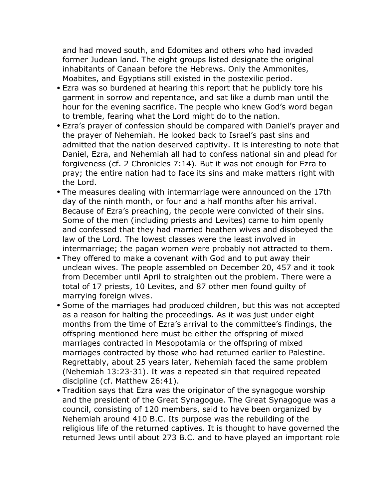and had moved south, and Edomites and others who had invaded former Judean land. The eight groups listed designate the original inhabitants of Canaan before the Hebrews. Only the Ammonites, Moabites, and Egyptians still existed in the postexilic period.

- Ezra was so burdened at hearing this report that he publicly tore his garment in sorrow and repentance, and sat like a dumb man until the hour for the evening sacrifice. The people who knew God's word began to tremble, fearing what the Lord might do to the nation.
- Ezra's prayer of confession should be compared with Daniel's prayer and the prayer of Nehemiah. He looked back to Israel's past sins and admitted that the nation deserved captivity. It is interesting to note that Daniel, Ezra, and Nehemiah all had to confess national sin and plead for forgiveness (cf. 2 Chronicles 7:14). But it was not enough for Ezra to pray; the entire nation had to face its sins and make matters right with the Lord.
- The measures dealing with intermarriage were announced on the 17th day of the ninth month, or four and a half months after his arrival. Because of Ezra's preaching, the people were convicted of their sins. Some of the men (including priests and Levites) came to him openly and confessed that they had married heathen wives and disobeyed the law of the Lord. The lowest classes were the least involved in intermarriage; the pagan women were probably not attracted to them.
- They offered to make a covenant with God and to put away their unclean wives. The people assembled on December 20, 457 and it took from December until April to straighten out the problem. There were a total of 17 priests, 10 Levites, and 87 other men found guilty of marrying foreign wives.
- Some of the marriages had produced children, but this was not accepted as a reason for halting the proceedings. As it was just under eight months from the time of Ezra's arrival to the committee's findings, the offspring mentioned here must be either the offspring of mixed marriages contracted in Mesopotamia or the offspring of mixed marriages contracted by those who had returned earlier to Palestine. Regrettably, about 25 years later, Nehemiah faced the same problem (Nehemiah 13:23-31). It was a repeated sin that required repeated discipline (cf. Matthew 26:41).
- Tradition says that Ezra was the originator of the synagogue worship and the president of the Great Synagogue. The Great Synagogue was a council, consisting of 120 members, said to have been organized by Nehemiah around 410 B.C. Its purpose was the rebuilding of the religious life of the returned captives. It is thought to have governed the returned Jews until about 273 B.C. and to have played an important role